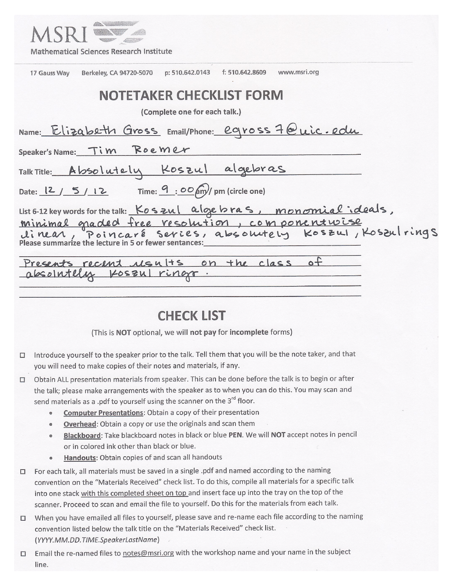| <b>Mathematical Sciences Research Institute</b>                                                                                                                               |
|-------------------------------------------------------------------------------------------------------------------------------------------------------------------------------|
| f: 510.642.8609<br>www.msri.org<br>p: 510.642.0143<br>Berkeley, CA 94720-5070<br>17 Gauss Way                                                                                 |
| <b>NOTETAKER CHECKLIST FORM</b>                                                                                                                                               |
| (Complete one for each talk.)                                                                                                                                                 |
| Name: Elizabeth Gross Email/Phone: egross 7@uic.edu                                                                                                                           |
| Speaker's Name: Tim Roemer                                                                                                                                                    |
| Talk Title: Absolutely Koszul algebras                                                                                                                                        |
| Date: $\frac{12}{5}$ 12 Time: $\frac{9}{5}$ 00 am/ pm (circle one)                                                                                                            |
| List 6-12 key words for the talk: Koszul algebras, monomial ideals,<br>minimal graded free resolution, componentwise<br>Please summarize the lecture in 5 or fewer sentances: |
| Presents recent usults<br>on the class                                                                                                                                        |

absolutely Koszul ringe

# **CHECK LIST**

(This is NOT optional, we will not pay for incomplete forms)

- □ Introduce yourself to the speaker prior to the talk. Tell them that you will be the note taker, and that you will need to make copies of their notes and materials, if any.
- □ Obtain ALL presentation materials from speaker. This can be done before the talk is to begin or after the talk; please make arrangements with the speaker as to when you can do this. You may scan and send materials as a .pdf to yourself using the scanner on the 3<sup>rd</sup> floor.
	- **Computer Presentations:** Obtain a copy of their presentation  $\bullet$
	- Overhead: Obtain a copy or use the originals and scan them
	- Blackboard: Take blackboard notes in black or blue PEN. We will NOT accept notes in pencil or in colored ink other than black or blue.
	- Handouts: Obtain copies of and scan all handouts  $\bullet$
- □ For each talk, all materials must be saved in a single .pdf and named according to the naming convention on the "Materials Received" check list. To do this, compile all materials for a specific talk into one stack with this completed sheet on top and insert face up into the tray on the top of the scanner. Proceed to scan and email the file to yourself. Do this for the materials from each talk.
- □ When you have emailed all files to yourself, please save and re-name each file according to the naming convention listed below the talk title on the "Materials Received" check list. (YYYY.MM.DD.TIME.SpeakerLastName)
- □ Email the re-named files to notes@msri.org with the workshop name and your name in the subject line.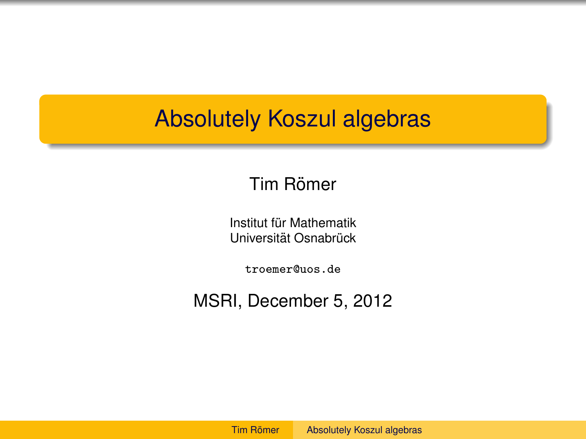## <span id="page-1-0"></span>Absolutely Koszul algebras

### Tim Römer

Institut für Mathematik Universität Osnabrück

troemer@uos.de

MSRI, December 5, 2012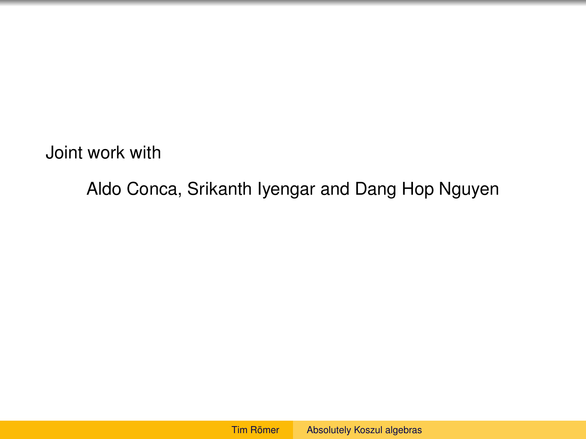Joint work with

Aldo Conca, Srikanth Iyengar and Dang Hop Nguyen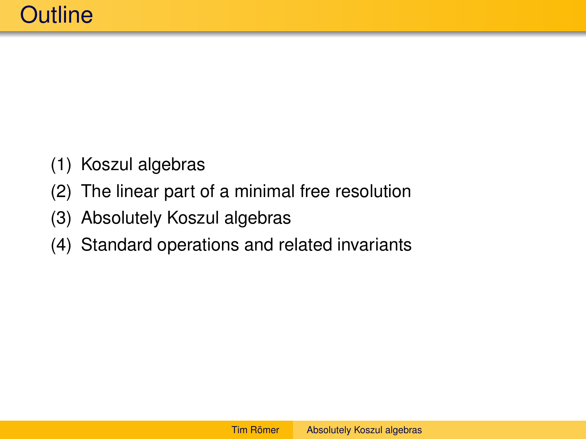- (1) Koszul algebras
- (2) The linear part of a minimal free resolution
- (3) Absolutely Koszul algebras
- (4) Standard operations and related invariants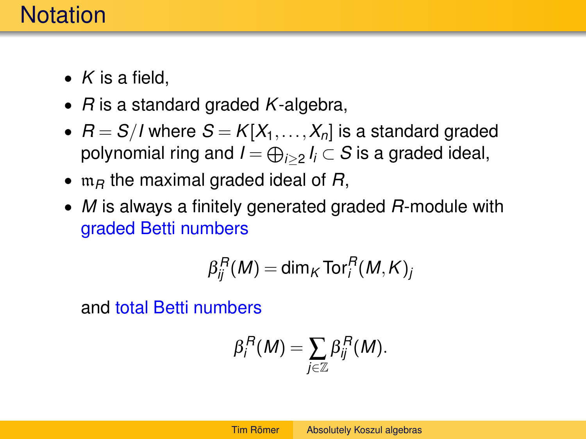## **Notation**

- *K* is a field,
- *R* is a standard graded *K*-algebra,
- $R = S/I$  where  $S = K[X_1, \ldots, X_n]$  is a standard graded polynomial ring and  $I\!=\!\oplus_{i\geq 2}I_i\subset S$  is a graded ideal,
- $m<sub>B</sub>$  the maximal graded ideal of  $R$ ,
- *M* is always a finitely generated graded *R*-module with graded Betti numbers

$$
\beta_{ij}^R(M) = \dim_K \operatorname{Tor}_i^R(M, K)_j
$$

and total Betti numbers

$$
\beta_i^R(M)=\sum_{j\in\mathbb{Z}}\beta_{ij}^R(M).
$$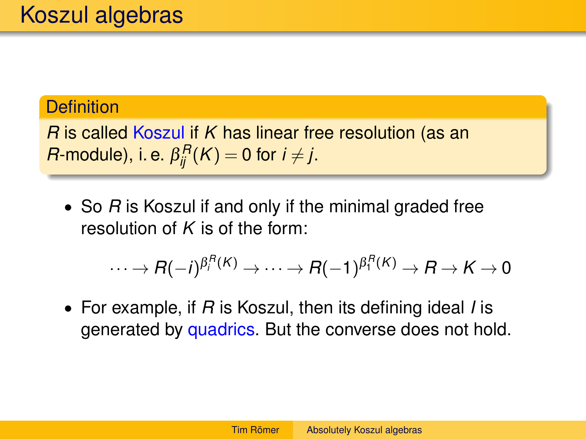### **Definition**

*R* is called Koszul if *K* has linear free resolution (as an *R*-module), i. e.  $\beta_{ij}^R(K) = 0$  for  $i \neq j$ .

• So *R* is Koszul if and only if the minimal graded free resolution of *K* is of the form:

$$
\cdots \to R(-i)^{\beta_i^R(K)} \to \cdots \to R(-1)^{\beta_1^R(K)} \to R \to K \to 0
$$

• For example, if *R* is Koszul, then its defining ideal *I* is generated by quadrics. But the converse does not hold.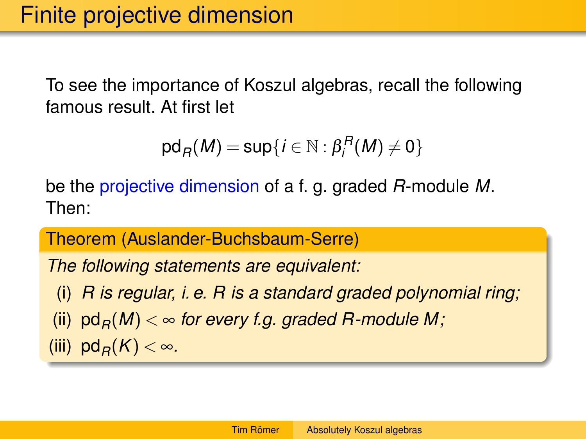To see the importance of Koszul algebras, recall the following famous result. At first let

$$
\mathrm{pd}_R(M)=\mathrm{sup}\{i\in\mathbb{N}:\beta_i^R(M)\neq 0\}
$$

be the projective dimension of a f. g. graded *R*-module *M*. Then:

Theorem (Auslander-Buchsbaum-Serre)

*The following statements are equivalent:*

(i) *R is regular, i. e. R is a standard graded polynomial ring;* (ii)  $pd_R(M) < \infty$  for every f.g. graded R-module M; (iii)  $pd_B(K) < \infty$ .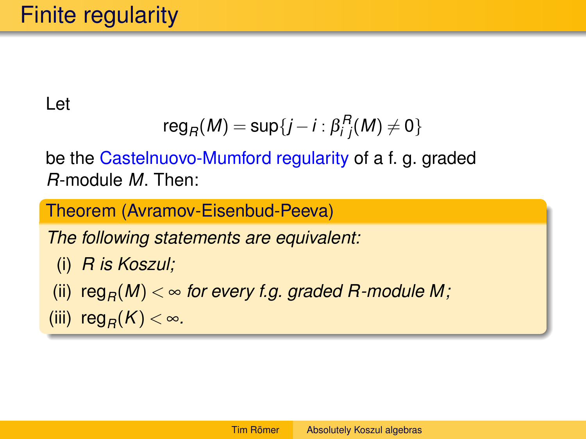Let

$$
reg_R(M) = sup\{j - i : \beta_{i,j}^R(M) \neq 0\}
$$

be the Castelnuovo-Mumford regularity of a f. g. graded *R*-module *M*. Then:

Theorem (Avramov-Eisenbud-Peeva)

*The following statements are equivalent:*

- (i) *R is Koszul;*
- (ii)  $reg_R(M) < \infty$  for every f.g. graded R-module M;
- (iii) reg<sub>R</sub> $(K) < \infty$ .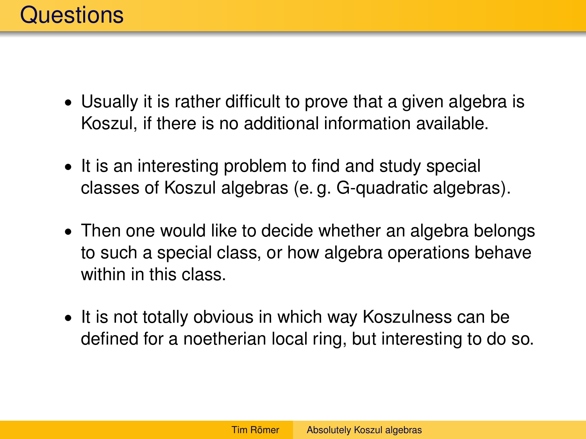- Usually it is rather difficult to prove that a given algebra is Koszul, if there is no additional information available.
- It is an interesting problem to find and study special classes of Koszul algebras (e. g. G-quadratic algebras).
- Then one would like to decide whether an algebra belongs to such a special class, or how algebra operations behave within in this class.
- It is not totally obvious in which way Koszulness can be defined for a noetherian local ring, but interesting to do so.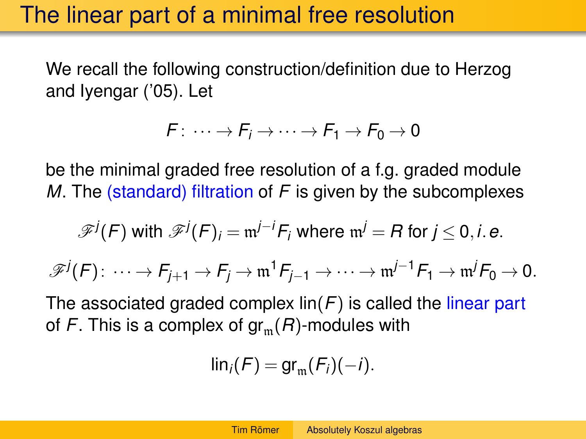## The linear part of a minimal free resolution

We recall the following construction/definition due to Herzog and Iyengar ('05). Let

$$
F: \cdots \to F_i \to \cdots \to F_1 \to F_0 \to 0
$$

be the minimal graded free resolution of a f.g. graded module *M*. The (standard) filtration of *F* is given by the subcomplexes

$$
\mathscr{F}^j(F) \text{ with } \mathscr{F}^j(F)_i = \mathfrak{m}^{j-i} F_i \text{ where } \mathfrak{m}^j = R \text{ for } j \leq 0, i. e.
$$
  

$$
\mathscr{F}^j(F) : \cdots \to F_{j+1} \to F_j \to \mathfrak{m}^1 F_{j-1} \to \cdots \to \mathfrak{m}^{j-1} F_1 \to \mathfrak{m}^j F_0 \to 0.
$$

The associated graded complex lin(*F*) is called the linear part of *F*. This is a complex of  $gr_m(R)$ -modules with

$$
\mathsf{lin}_i(F) = \mathsf{gr}_{\mathfrak{m}}(F_i)(-i).
$$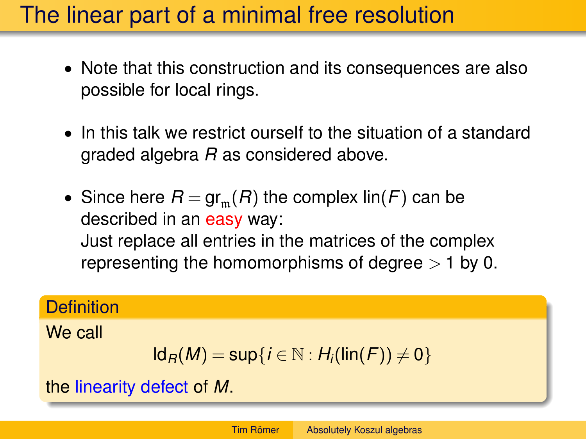## The linear part of a minimal free resolution

- Note that this construction and its consequences are also possible for local rings.
- In this talk we restrict ourself to the situation of a standard graded algebra *R* as considered above.
- Since here  $R = \text{gr}_{m}(R)$  the complex  $\text{lin}(F)$  can be described in an easy way: Just replace all entries in the matrices of the complex representing the homomorphisms of degree  $> 1$  by 0.

#### **Definition**

We call

$$
Id_R(M) = sup\{i \in \mathbb{N} : H_i(lin(F)) \neq 0\}
$$

the linearity defect of *M*.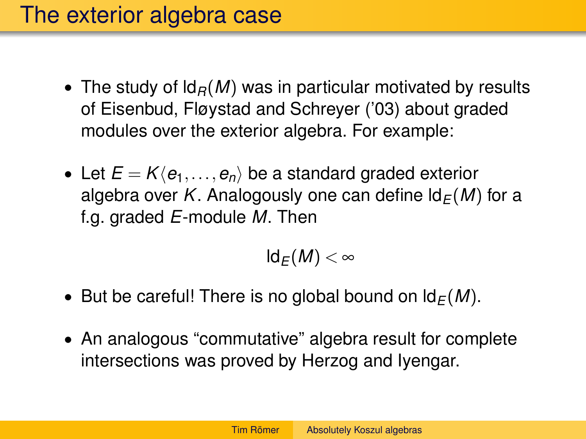## The exterior algebra case

- The study of  $\mathsf{Id}_B(M)$  was in particular motivated by results of Eisenbud, Fløystad and Schreyer ('03) about graded modules over the exterior algebra. For example:
- Let  $E = K\langle e_1, \ldots, e_n \rangle$  be a standard graded exterior algebra over *K*. Analogously one can define  $\mathsf{Id}_F(M)$  for a f.g. graded *E*-module *M*. Then

$$
\mathsf{Id}_E(M)<\infty
$$

- But be careful! There is no global bound on  $\mathsf{Id}_F(M)$ .
- An analogous "commutative" algebra result for complete intersections was proved by Herzog and Iyengar.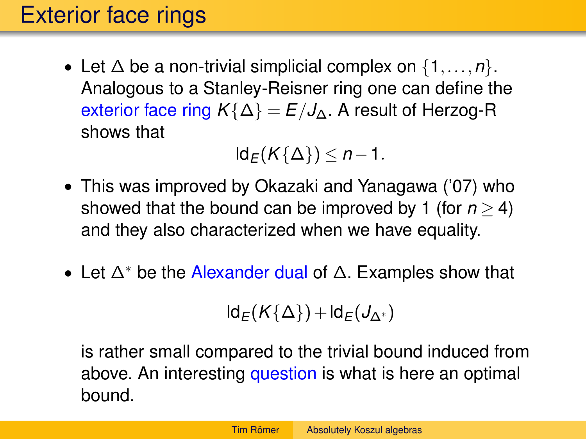## Exterior face rings

• Let ∆ be a non-trivial simplicial complex on {1,...,*n*}. Analogous to a Stanley-Reisner ring one can define the exterior face ring  $K\{\Delta\} = E/J_{\Delta}$ . A result of Herzog-R shows that

 $ld$ <sup>E</sup>(*K*{∆}) ≤ *n* − 1.

- This was improved by Okazaki and Yanagawa ('07) who showed that the bound can be improved by 1 (for  $n > 4$ ) and they also characterized when we have equality.
- Let  $\Delta^*$  be the Alexander dual of  $\Delta$ . Examples show that

$$
Id_E(K\{\Delta\})+Id_E(J_{\Delta^*})
$$

is rather small compared to the trivial bound induced from above. An interesting question is what is here an optimal bound.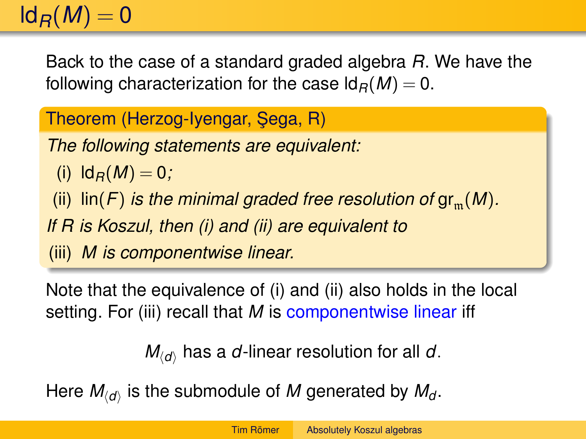# $\mathsf{Id}_B(M) = 0$

Back to the case of a standard graded algebra *R*. We have the following characterization for the case  $\mathsf{Id}_R(M) = 0$ .

Theorem (Herzog-Iyengar, Sega, R)

*The following statements are equivalent:*

(i)  $\mathsf{Id}_B(M) = 0$ ;

(ii)  $\lim(F)$  *is the minimal graded free resolution of gr*<sub>m</sub> $(M)$ *.* 

*If R is Koszul, then (i) and (ii) are equivalent to*

(iii) *M is componentwise linear.*

Note that the equivalence of (i) and (ii) also holds in the local setting. For (iii) recall that *M* is componentwise linear iff

 $M_{\langle d \rangle}$  has a *d*-linear resolution for all *d*.

Here  $M_{\langle d \rangle}$  is the submodule of  $M$  generated by  $M_{d}$ .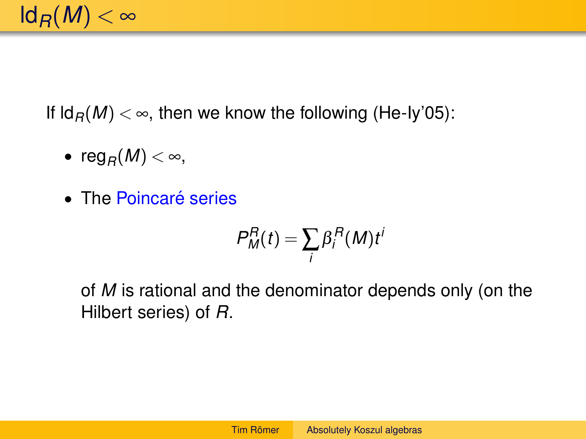If  $\text{Id}_B(M) < \infty$ , then we know the following (He-Iy'05):

- reg<sub>R</sub> $(M) < \infty$ ,
- The Poincaré series

$$
P_M^R(t) = \sum_i \beta_i^R(M) t^i
$$

of *M* is rational and the denominator depends only (on the Hilbert series) of *R*.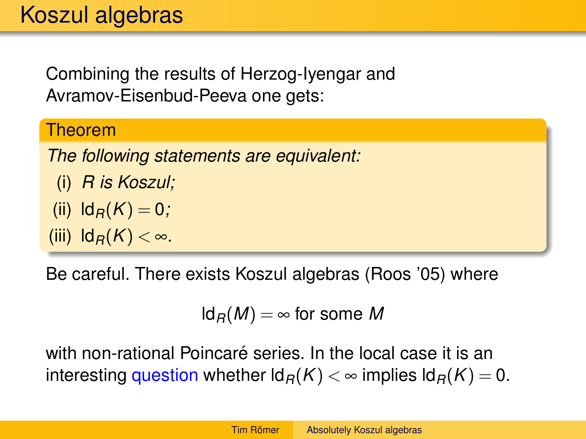Combining the results of Herzog-Iyengar and Avramov-Eisenbud-Peeva one gets:

#### Theorem

*The following statements are equivalent:*

(i) *R* is Koszul;  
(ii) 
$$
ld_R(K) = 0
$$
;

$$
(iii) \ \mathrm{Id}_R(K) < \infty.
$$

Be careful. There exists Koszul algebras (Roos '05) where

$$
Id_R(M) = \infty
$$
 for some M

with non-rational Poincaré series. In the local case it is an interesting question whether  $\mathsf{Id}_R(K) < \infty$  implies  $\mathsf{Id}_R(K) = 0$ .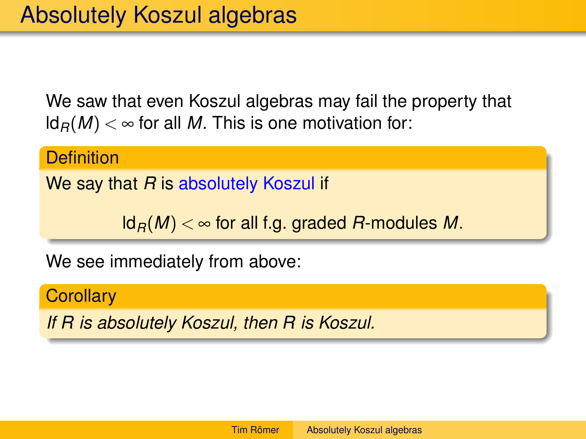We saw that even Koszul algebras may fail the property that  $\mathsf{Id}_B(M) < \infty$  for all M. This is one motivation for:

**Definition** 

We say that *R* is absolutely Koszul if

 $\mathsf{Id}_B(M) < \infty$  for all f.g. graded *R*-modules *M*.

We see immediately from above:

**Corollary** 

*If R is absolutely Koszul, then R is Koszul.*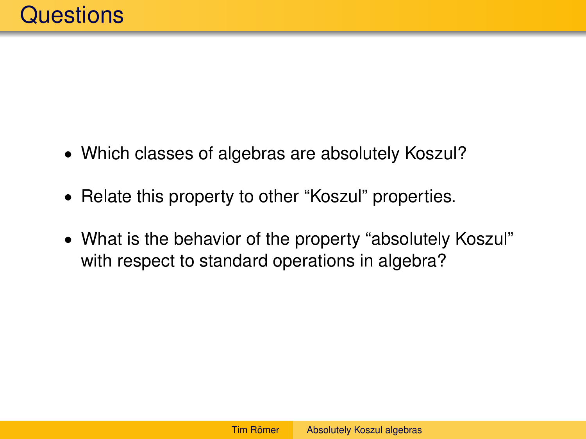- Which classes of algebras are absolutely Koszul?
- Relate this property to other "Koszul" properties.
- What is the behavior of the property "absolutely Koszul" with respect to standard operations in algebra?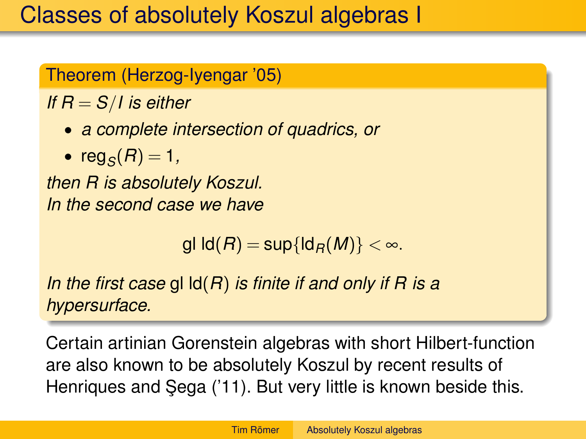### Theorem (Herzog-Iyengar '05)

*If R* = *S*/*I is either*

- *a complete intersection of quadrics, or*
- reg<sub>*S*</sub> $(R)$  = 1*,*

*then R is absolutely Koszul. In the second case we have*

gl  $\text{Id}(R) = \sup\{\text{Id}_R(M)\} < \infty$ .

*In the first case* gl ld(*R*) *is finite if and only if R is a hypersurface.*

Certain artinian Gorenstein algebras with short Hilbert-function are also known to be absolutely Koszul by recent results of Henriques and Sega ('11). But very little is known beside this.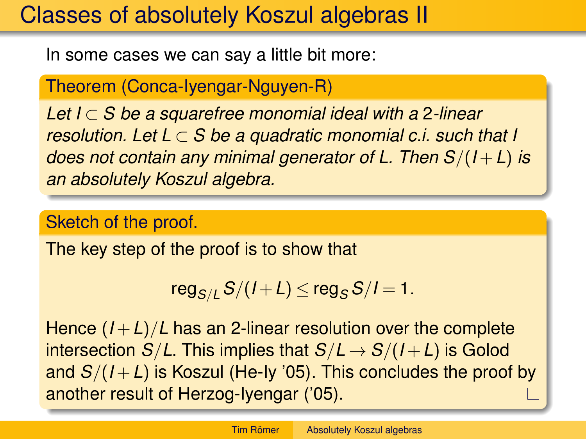## Classes of absolutely Koszul algebras II

In some cases we can say a little bit more:

Theorem (Conca-Iyengar-Nguyen-R)

*Let I* ⊂ *S be a squarefree monomial ideal with a* 2*-linear resolution. Let L* ⊂ *S be a quadratic monomial c.i. such that I does not contain any minimal generator of L. Then S*/(*I* +*L*) *is an absolutely Koszul algebra.*

### Sketch of the proof.

The key step of the proof is to show that

$$
\text{reg}_{S/L} S/(I+L) \leq \text{reg}_S S/I = 1.
$$

Hence  $(I + L)/L$  has an 2-linear resolution over the complete intersection *S*/*L*. This implies that  $S/L \rightarrow S/(I+L)$  is Golod and  $S/(I+L)$  is Koszul (He-Iy '05). This concludes the proof by another result of Herzog-Iyengar ('05).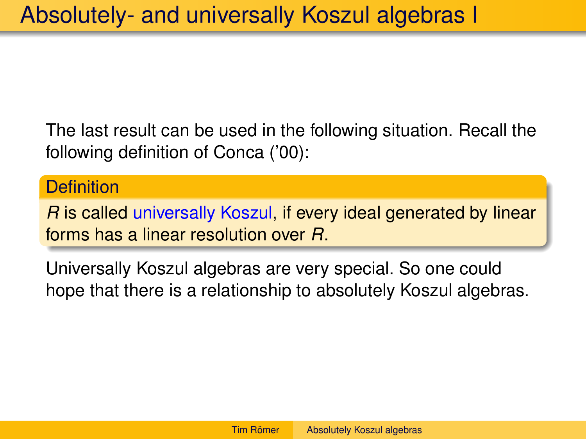The last result can be used in the following situation. Recall the following definition of Conca ('00):

#### **Definition**

*R* is called universally Koszul, if every ideal generated by linear forms has a linear resolution over *R*.

Universally Koszul algebras are very special. So one could hope that there is a relationship to absolutely Koszul algebras.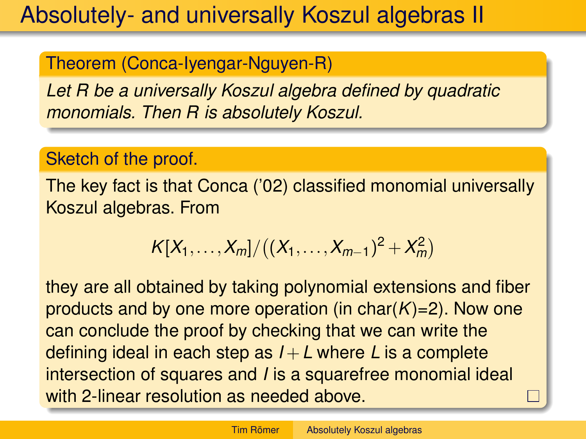## Absolutely- and universally Koszul algebras II

### Theorem (Conca-Iyengar-Nguyen-R)

*Let R be a universally Koszul algebra defined by quadratic monomials. Then R is absolutely Koszul.*

### Sketch of the proof.

The key fact is that Conca ('02) classified monomial universally Koszul algebras. From

$$
K[X_1,\ldots,X_m]/((X_1,\ldots,X_{m-1})^2+X_m^2)
$$

they are all obtained by taking polynomial extensions and fiber products and by one more operation (in  $char(K)=2$ ). Now one can conclude the proof by checking that we can write the defining ideal in each step as  $I + L$  where L is a complete intersection of squares and *I* is a squarefree monomial ideal with 2-linear resolution as needed above.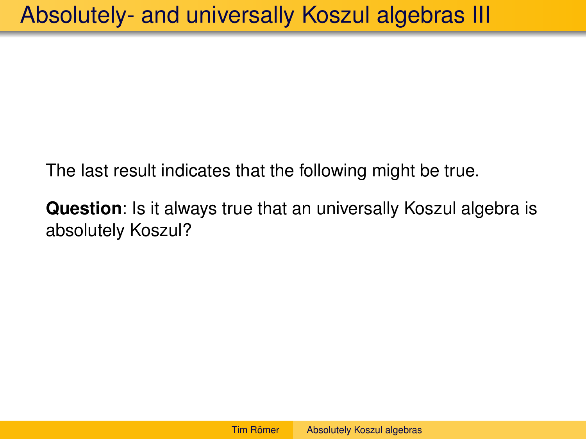The last result indicates that the following might be true.

**Question**: Is it always true that an universally Koszul algebra is absolutely Koszul?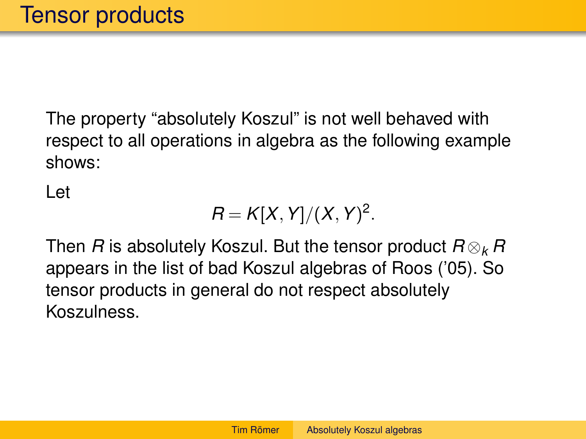The property "absolutely Koszul" is not well behaved with respect to all operations in algebra as the following example shows:

Let

$$
R=K[X,Y]/(X,Y)^2.
$$

Then *R* is absolutely Koszul. But the tensor product *R* ⊗*<sup>k</sup> R* appears in the list of bad Koszul algebras of Roos ('05). So tensor products in general do not respect absolutely Koszulness.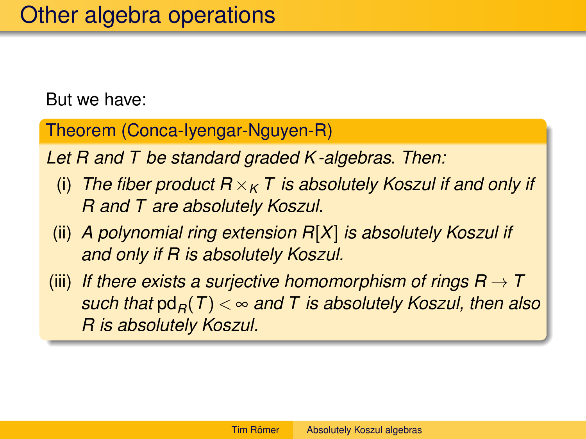But we have:

Theorem (Conca-Iyengar-Nguyen-R)

*Let R and T be standard graded K -algebras. Then:*

- (i) *The fiber product*  $R \times_K T$  *is absolutely Koszul if and only if R and T are absolutely Koszul.*
- (ii) *A polynomial ring extension R*[*X*] *is absolutely Koszul if and only if R is absolutely Koszul.*
- (iii) If there exists a surjective homomorphism of rings  $R \rightarrow T$ *such that*  $pd<sub>B</sub>(T) < \infty$  and T is absolutely Koszul, then also *R is absolutely Koszul.*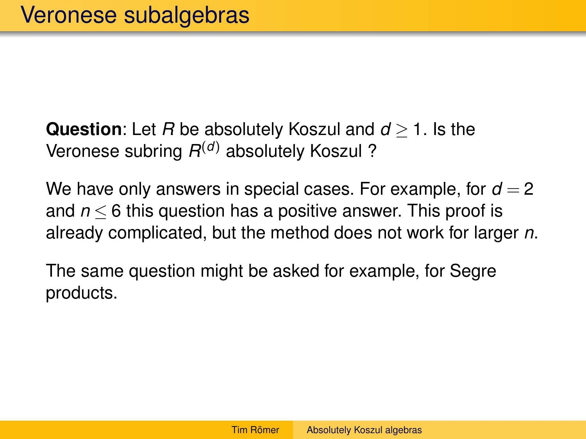**Question**: Let *R* be absolutely Koszul and *d* ≥ 1. Is the Veronese subring *R* (*d*) absolutely Koszul ?

We have only answers in special cases. For example, for  $d = 2$ and *n* ≤ 6 this question has a positive answer. This proof is already complicated, but the method does not work for larger *n*.

The same question might be asked for example, for Segre products.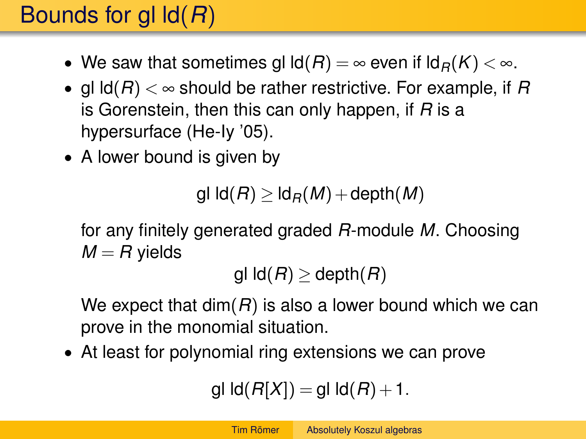# Bounds for gl ld(*R*)

- We saw that sometimes gl  $\text{Id}(R) = \infty$  even if  $\text{Id}_R(K) < \infty$ .
- gl ld(*R*) < ∞ should be rather restrictive. For example, if *R* is Gorenstein, then this can only happen, if *R* is a hypersurface (He-Iy '05).
- A lower bound is given by

gl  $\text{Id}(R)$  >  $\text{Id}_R(M)$  + depth(M)

for any finitely generated graded *R*-module *M*. Choosing  $M = R$  yields

gl  $\text{Id}(R) \geq \text{depth}(R)$ 

We expect that dim(*R*) is also a lower bound which we can prove in the monomial situation.

• At least for polynomial ring extensions we can prove

$$
\mathsf{gl}\, \mathsf{Id}(R[X]) = \mathsf{gl}\, \mathsf{Id}(R) + 1.
$$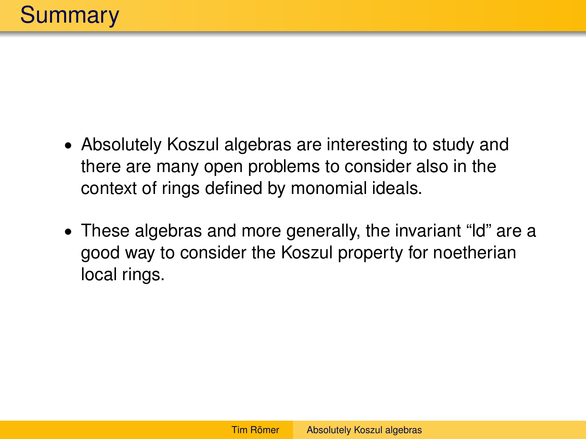- Absolutely Koszul algebras are interesting to study and there are many open problems to consider also in the context of rings defined by monomial ideals.
- These algebras and more generally, the invariant "ld" are a good way to consider the Koszul property for noetherian local rings.